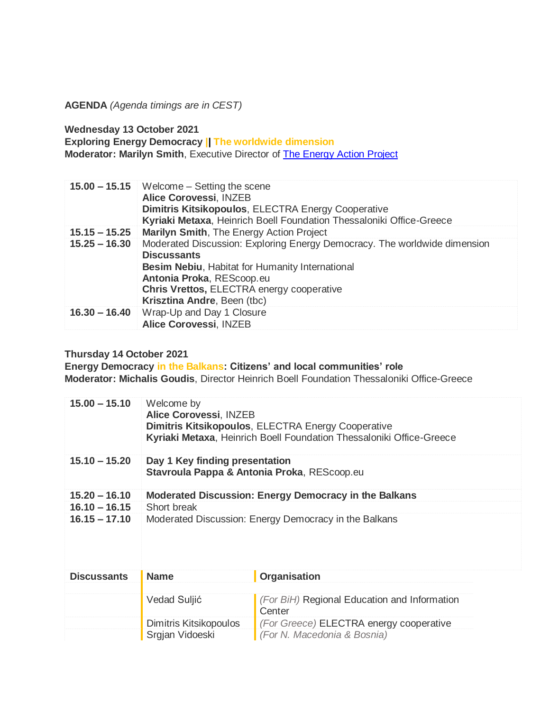**AGENDA** *(Agenda timings are in CEST)*

**Wednesday 13 October 2021**

**Exploring Energy Democracy || The worldwide dimension Moderator: Marilyn Smith**, Executive Director of **The Energy Action Project** 

|                 | 15.00 - 15.15 Welcome - Setting the scene<br><b>Alice Corovessi, INZEB</b><br>Dimitris Kitsikopoulos, ELECTRA Energy Cooperative<br>Kyriaki Metaxa, Heinrich Boell Foundation Thessaloniki Office-Greece                                                           |
|-----------------|--------------------------------------------------------------------------------------------------------------------------------------------------------------------------------------------------------------------------------------------------------------------|
| $15.15 - 15.25$ | Marilyn Smith, The Energy Action Project                                                                                                                                                                                                                           |
| $15.25 - 16.30$ | Moderated Discussion: Exploring Energy Democracy. The worldwide dimension<br><b>Discussants</b><br><b>Besim Nebiu, Habitat for Humanity International</b><br>Antonia Proka, REScoop.eu<br>Chris Vrettos, ELECTRA energy cooperative<br>Krisztina Andre, Been (tbc) |
| $16.30 - 16.40$ | Wrap-Up and Day 1 Closure<br>Alice Corovessi, INZEB                                                                                                                                                                                                                |

## **Thursday 14 October 2021**

**Energy Democracy in the Balkans: Citizens' and local communities' role Moderator: Michalis Goudis**, Director Heinrich Boell Foundation Thessaloniki Office-Greece

| $15.00 - 15.10$    | Welcome by<br><b>Alice Corovessi, INZEB</b>                                   | <b>Dimitris Kitsikopoulos, ELECTRA Energy Cooperative</b><br>Kyriaki Metaxa, Heinrich Boell Foundation Thessaloniki Office-Greece |  |
|--------------------|-------------------------------------------------------------------------------|-----------------------------------------------------------------------------------------------------------------------------------|--|
| $15.10 - 15.20$    | Day 1 Key finding presentation<br>Stavroula Pappa & Antonia Proka, REScoop.eu |                                                                                                                                   |  |
| $15.20 - 16.10$    | Moderated Discussion: Energy Democracy in the Balkans                         |                                                                                                                                   |  |
| $16.10 - 16.15$    | Short break                                                                   |                                                                                                                                   |  |
| $16.15 - 17.10$    |                                                                               | Moderated Discussion: Energy Democracy in the Balkans                                                                             |  |
| <b>Discussants</b> | <b>Name</b>                                                                   | <b>Organisation</b>                                                                                                               |  |
|                    |                                                                               |                                                                                                                                   |  |
|                    | Vedad Suljić                                                                  | (For BiH) Regional Education and Information<br>Center                                                                            |  |
|                    | Dimitris Kitsikopoulos                                                        | (For Greece) ELECTRA energy cooperative                                                                                           |  |
|                    | Srgjan Vidoeski                                                               | (For N. Macedonia & Bosnia)                                                                                                       |  |